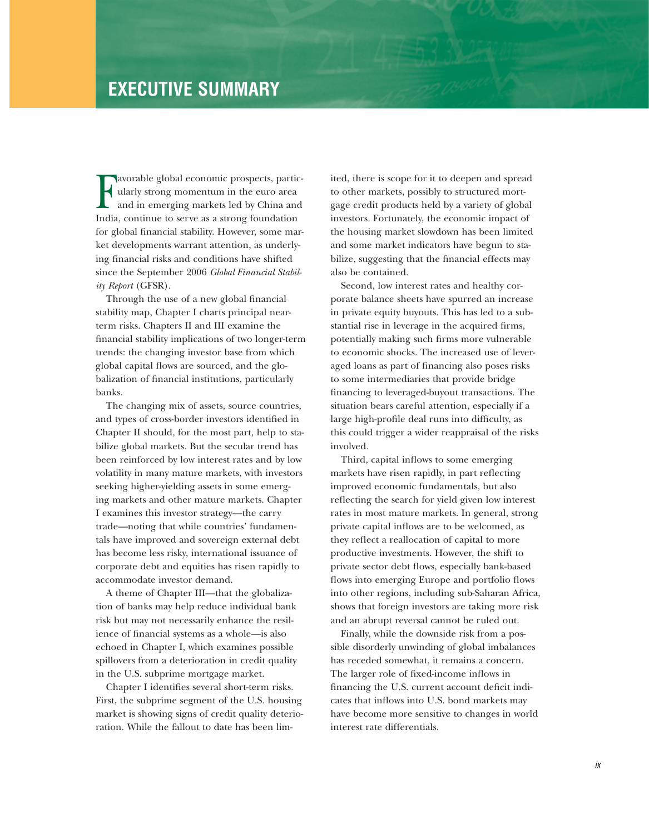## **EXECUTIVE SUMMARY**

Favorable global economic prospects, particularly strong momentum in the euro area<br>and in emerging markets led by China and<br>India, continue to serve as a strong foundation ularly strong momentum in the euro area and in emerging markets led by China and India, continue to serve as a strong foundation for global financial stability. However, some market developments warrant attention, as underlying financial risks and conditions have shifted since the September 2006 *Global Financial Stability Report* (GFSR).

Through the use of a new global financial stability map, Chapter I charts principal nearterm risks. Chapters II and III examine the financial stability implications of two longer-term trends: the changing investor base from which global capital flows are sourced, and the globalization of financial institutions, particularly banks.

The changing mix of assets, source countries, and types of cross-border investors identified in Chapter II should, for the most part, help to stabilize global markets. But the secular trend has been reinforced by low interest rates and by low volatility in many mature markets, with investors seeking higher-yielding assets in some emerging markets and other mature markets. Chapter I examines this investor strategy—the carry trade—noting that while countries' fundamentals have improved and sovereign external debt has become less risky, international issuance of corporate debt and equities has risen rapidly to accommodate investor demand.

A theme of Chapter III—that the globalization of banks may help reduce individual bank risk but may not necessarily enhance the resilience of financial systems as a whole—is also echoed in Chapter I, which examines possible spillovers from a deterioration in credit quality in the U.S. subprime mortgage market.

Chapter I identifies several short-term risks. First, the subprime segment of the U.S. housing market is showing signs of credit quality deterioration. While the fallout to date has been lim-

ited, there is scope for it to deepen and spread to other markets, possibly to structured mortgage credit products held by a variety of global investors. Fortunately, the economic impact of the housing market slowdown has been limited and some market indicators have begun to stabilize, suggesting that the financial effects may also be contained.

Second, low interest rates and healthy corporate balance sheets have spurred an increase in private equity buyouts. This has led to a substantial rise in leverage in the acquired firms, potentially making such firms more vulnerable to economic shocks. The increased use of leveraged loans as part of financing also poses risks to some intermediaries that provide bridge financing to leveraged-buyout transactions. The situation bears careful attention, especially if a large high-profile deal runs into difficulty, as this could trigger a wider reappraisal of the risks involved.

Third, capital inflows to some emerging markets have risen rapidly, in part reflecting improved economic fundamentals, but also reflecting the search for yield given low interest rates in most mature markets. In general, strong private capital inflows are to be welcomed, as they reflect a reallocation of capital to more productive investments. However, the shift to private sector debt flows, especially bank-based flows into emerging Europe and portfolio flows into other regions, including sub-Saharan Africa, shows that foreign investors are taking more risk and an abrupt reversal cannot be ruled out.

Finally, while the downside risk from a possible disorderly unwinding of global imbalances has receded somewhat, it remains a concern. The larger role of fixed-income inflows in financing the U.S. current account deficit indicates that inflows into U.S. bond markets may have become more sensitive to changes in world interest rate differentials.